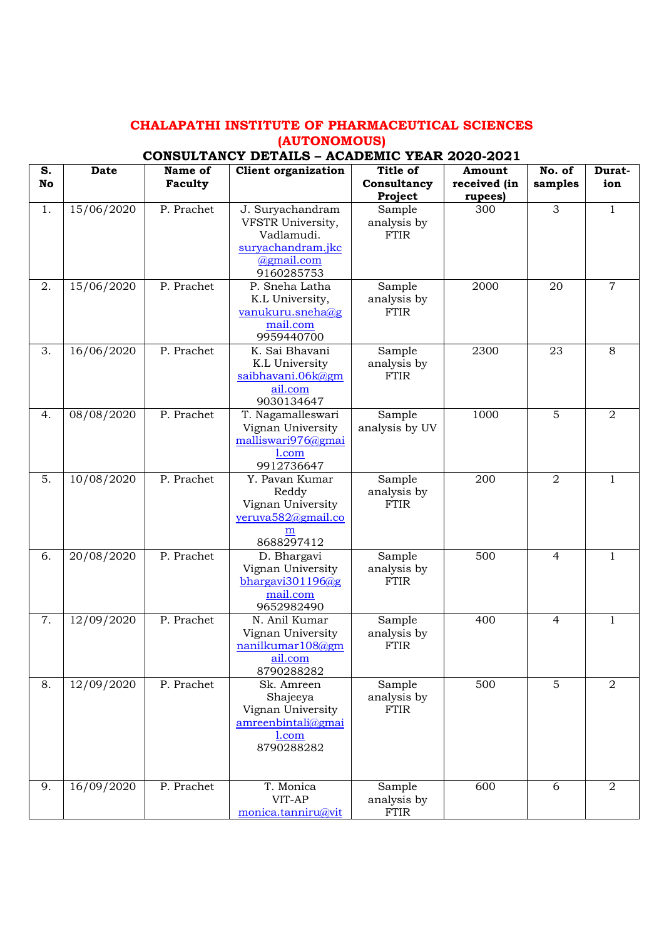## **CHALAPATHI INSTITUTE OF PHARMACEUTICAL SCIENCES (AUTONOMOUS)**

## **CONSULTANCY DETAILS – ACADEMIC YEAR 2020-2021**

| S. | <b>Date</b> | Name of    | <b>Client organization</b>        | Title of              | Amount       | No. of         | Durat-         |
|----|-------------|------------|-----------------------------------|-----------------------|--------------|----------------|----------------|
| No |             | Faculty    |                                   | Consultancy           | received (in | samples        | ion            |
|    |             |            |                                   | Project               | rupees)      |                |                |
| 1. | 15/06/2020  | P. Prachet | J. Suryachandram                  | Sample                | 300          | 3              | $\mathbf{1}$   |
|    |             |            | VFSTR University,                 | analysis by           |              |                |                |
|    |             |            | Vadlamudi.                        | <b>FTIR</b>           |              |                |                |
|    |             |            | suryachandram.jkc                 |                       |              |                |                |
|    |             |            | @gmail.com                        |                       |              |                |                |
| 2. |             | P. Prachet | 9160285753                        |                       | 2000         |                | $\overline{7}$ |
|    | 15/06/2020  |            | P. Sneha Latha<br>K.L University, | Sample<br>analysis by |              | 20             |                |
|    |             |            | vanukuru.sneha@g                  | <b>FTIR</b>           |              |                |                |
|    |             |            | mail.com                          |                       |              |                |                |
|    |             |            | 9959440700                        |                       |              |                |                |
| 3. | 16/06/2020  | P. Prachet | K. Sai Bhavani                    | Sample                | 2300         | 23             | 8              |
|    |             |            | K.L University                    | analysis by           |              |                |                |
|    |             |            | saibhavani.06k@gm                 | <b>FTIR</b>           |              |                |                |
|    |             |            | ail.com                           |                       |              |                |                |
|    |             |            | 9030134647                        |                       |              |                |                |
| 4. | 08/08/2020  | P. Prachet | T. Nagamalleswari                 | Sample                | 1000         | 5              | $\overline{2}$ |
|    |             |            | Vignan University                 | analysis by UV        |              |                |                |
|    |             |            | malliswari976@gmai                |                       |              |                |                |
|    |             |            | $1$ .com                          |                       |              |                |                |
|    |             |            | 9912736647                        |                       |              |                |                |
| 5. | 10/08/2020  | P. Prachet | Y. Pavan Kumar                    | Sample                | 200          | $\overline{2}$ | $\mathbf{1}$   |
|    |             |            | Reddy                             | analysis by           |              |                |                |
|    |             |            | Vignan University                 | FTIR                  |              |                |                |
|    |             |            | yeruva582@gmail.co                |                       |              |                |                |
|    |             |            | m<br>8688297412                   |                       |              |                |                |
| 6. | 20/08/2020  | P. Prachet | D. Bhargavi                       | Sample                | 500          | $\overline{4}$ | $\mathbf{1}$   |
|    |             |            | Vignan University                 | analysis by           |              |                |                |
|    |             |            | bhargavi301196 $@g$               | FTIR                  |              |                |                |
|    |             |            | mail.com                          |                       |              |                |                |
|    |             |            | 9652982490                        |                       |              |                |                |
| 7. | 12/09/2020  | P. Prachet | N. Anil Kumar                     | Sample                | 400          | 4              | $\mathbf{1}$   |
|    |             |            | Vignan University                 | analysis by           |              |                |                |
|    |             |            | nanilkumar108@gm                  | <b>FTIR</b>           |              |                |                |
|    |             |            | ail.com                           |                       |              |                |                |
|    |             |            | 8790288282                        |                       |              |                |                |
| 8. | 12/09/2020  | P. Prachet | Sk. Amreen                        | Sample                | 500          | 5              | $\overline{2}$ |
|    |             |            | Shajeeya                          | analysis by           |              |                |                |
|    |             |            | Vignan University                 | <b>FTIR</b>           |              |                |                |
|    |             |            | amreenbintali@gmai                |                       |              |                |                |
|    |             |            | 1.com                             |                       |              |                |                |
|    |             |            | 8790288282                        |                       |              |                |                |
|    |             |            |                                   |                       |              |                |                |
| 9. | 16/09/2020  | P. Prachet | T. Monica                         | Sample                | 600          | 6              | $\overline{2}$ |
|    |             |            | VIT-AP                            | analysis by           |              |                |                |
|    |             |            | monica.tanniru@vit                | FTIR                  |              |                |                |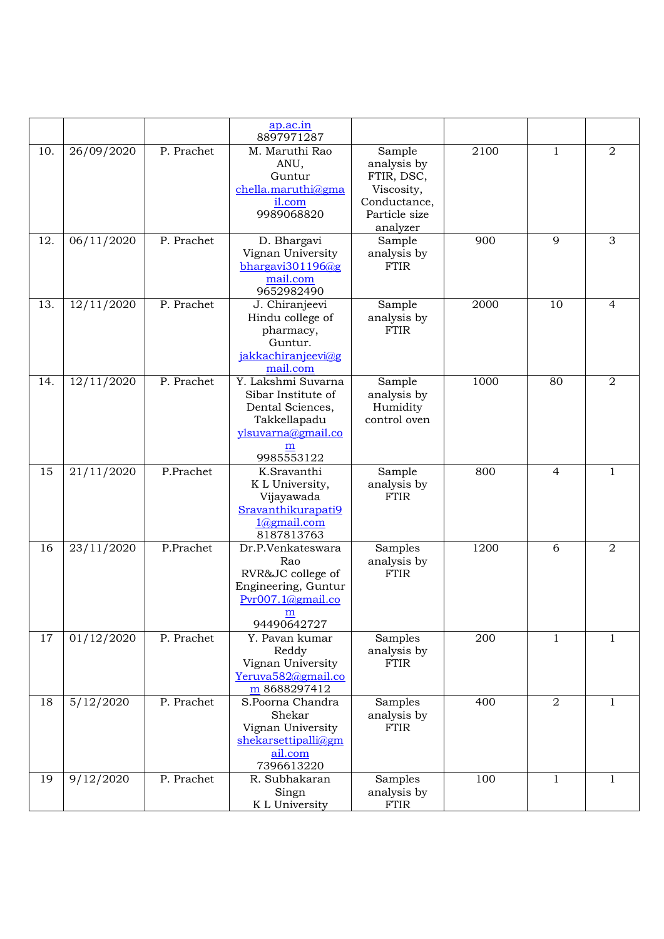|     |            |            | $a$ p.ac.in<br>8897971287                                                                                             |                                                                                                |      |              |                |
|-----|------------|------------|-----------------------------------------------------------------------------------------------------------------------|------------------------------------------------------------------------------------------------|------|--------------|----------------|
| 10. | 26/09/2020 | P. Prachet | M. Maruthi Rao<br>ANU,<br>Guntur<br>chella.maruthi@gma<br>il.com<br>9989068820                                        | Sample<br>analysis by<br>FTIR, DSC,<br>Viscosity,<br>Conductance,<br>Particle size<br>analyzer | 2100 | 1            | $\overline{2}$ |
| 12. | 06/11/2020 | P. Prachet | D. Bhargavi<br>Vignan University<br>bhargavi301196 $@g$<br>mail.com<br>9652982490                                     | Sample<br>analysis by<br><b>FTIR</b>                                                           | 900  | 9            | $\mathfrak{Z}$ |
| 13. | 12/11/2020 | P. Prachet | J. Chiranjeevi<br>Hindu college of<br>pharmacy,<br>Guntur.<br>jakkachiranjeevi@g<br>mail.com                          | Sample<br>analysis by<br><b>FTIR</b>                                                           | 2000 | 10           | $\overline{4}$ |
| 14. | 12/11/2020 | P. Prachet | Y. Lakshmi Suvarna<br>Sibar Institute of<br>Dental Sciences,<br>Takkellapadu<br>ylsuvarna@gmail.co<br>m<br>9985553122 | Sample<br>analysis by<br>Humidity<br>control oven                                              | 1000 | 80           | $\overline{2}$ |
| 15  | 21/11/2020 | P.Prachet  | K.Sravanthi<br>K L University,<br>Vijayawada<br>Sravanthikurapati9<br>$1$ @gmail.com<br>8187813763                    | Sample<br>analysis by<br><b>FTIR</b>                                                           | 800  | 4            | $\mathbf{1}$   |
| 16  | 23/11/2020 | P.Prachet  | Dr.P.Venkateswara<br>Rao<br>RVR&JC college of<br>Engineering, Guntur<br>Pvr007.1@gmail.co<br>m<br>94490642727         | Samples<br>analysis by<br><b>FTIR</b>                                                          | 1200 | 6            | $\overline{2}$ |
| 17  | 01/12/2020 | P. Prachet | Y. Pavan kumar<br>Reddy<br>Vignan University<br>Yeruva582@gmail.co<br>m 8688297412                                    | Samples<br>analysis by<br><b>FTIR</b>                                                          | 200  | $\mathbf{1}$ | $\mathbf{1}$   |
| 18  | 5/12/2020  | P. Prachet | S.Poorna Chandra<br>Shekar<br>Vignan University<br>shekarsettipalli@gm<br>ail.com<br>7396613220                       | Samples<br>analysis by<br><b>FTIR</b>                                                          | 400  | 2            | $\mathbf{1}$   |
| 19  | 9/12/2020  | P. Prachet | R. Subhakaran<br>Singn<br>K L University                                                                              | Samples<br>analysis by<br><b>FTIR</b>                                                          | 100  | $\mathbf{1}$ | $\mathbf{1}$   |